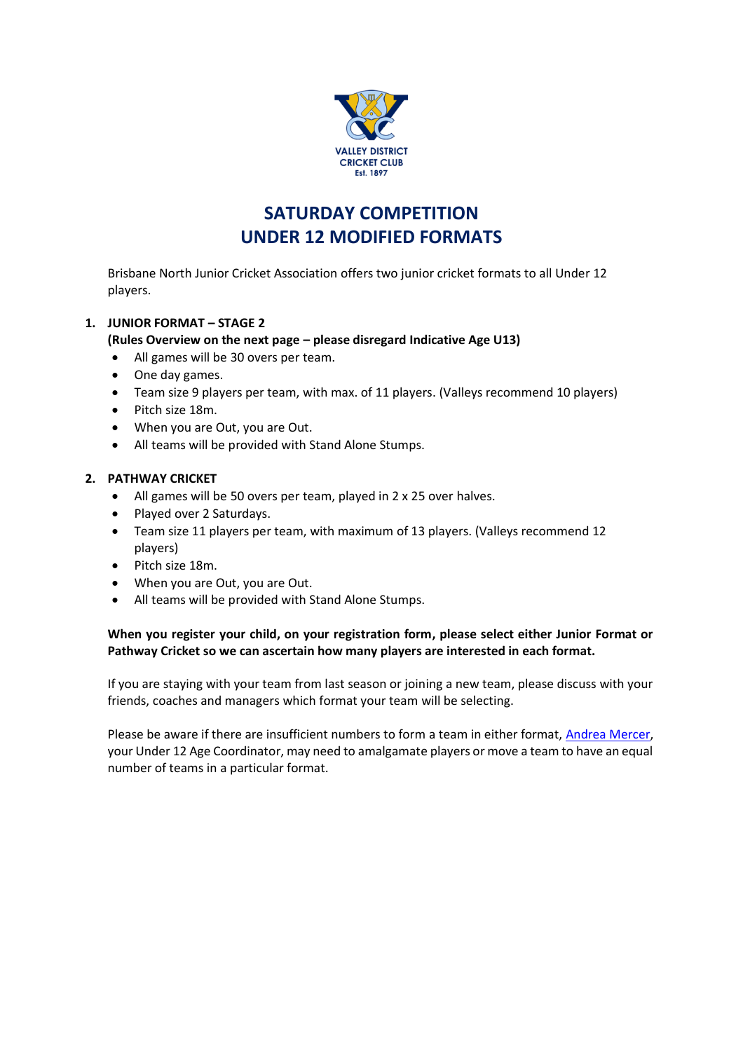

## **SATURDAY COMPETITION UNDER 12 MODIFIED FORMATS**

Brisbane North Junior Cricket Association offers two junior cricket formats to all Under 12 players.

### **1. JUNIOR FORMAT – STAGE 2**

#### **(Rules Overview on the next page – please disregard Indicative Age U13)**

- All games will be 30 overs per team.
- One day games.
- Team size 9 players per team, with max. of 11 players. (Valleys recommend 10 players)
- Pitch size 18m.
- When you are Out, you are Out.
- All teams will be provided with Stand Alone Stumps.

#### **2. PATHWAY CRICKET**

- All games will be 50 overs per team, played in 2 x 25 over halves.
- Played over 2 Saturdays.
- Team size 11 players per team, with maximum of 13 players. (Valleys recommend 12 players)
- Pitch size 18m.
- When you are Out, you are Out.
- All teams will be provided with Stand Alone Stumps.

#### **When you register your child, on your registration form, please select either Junior Format or Pathway Cricket so we can ascertain how many players are interested in each format.**

If you are staying with your team from last season or joining a new team, please discuss with your friends, coaches and managers which format your team will be selecting.

Please be aware if there are insufficient numbers to form a team in either format, Andrea Mercer, your Under 12 Age Coordinator, may need to amalgamate players or move a team to have an equal number of teams in a particular format.